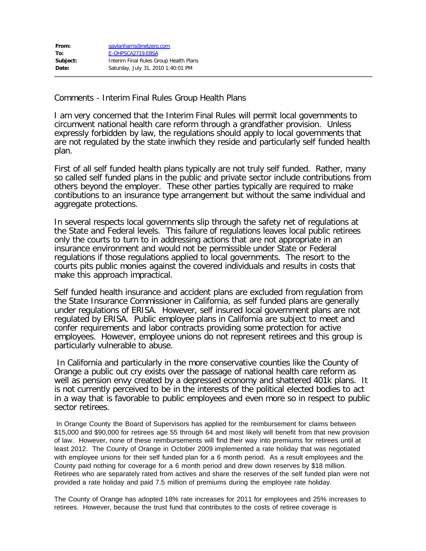Comments - Interim Final Rules Group Health Plans

I am very concerned that the Interim Final Rules will permit local governments to circumvent national health care reform through a grandfather provision. Unless expressly forbidden by law, the regulations should apply to local governments that are not regulated by the state inwhich they reside and particularly self funded health plan.

First of all self funded health plans typically are not truly self funded. Rather, many so called self funded plans in the public and private sector include contributions from others beyond the employer. These other parties typically are required to make contibutions to an insurance type arrangement but without the same individual and aggregate protections.

In several respects local governments slip through the safety net of regulations at the State and Federal levels. This failure of regulations leaves local public retirees only the courts to turn to in addressing actions that are not appropriate in an insurance environment and would not be permissible under State or Federal regulations if those regulations applied to local governments. The resort to the courts pits public monies against the covered individuals and results in costs that make this approach impractical.

Self funded health insurance and accident plans are excluded from regulation from the State Insurance Commissioner in California, as self funded plans are generally under regulations of ERISA. However, self insured local government plans are not regulated by ERISA. Public employee plans in California are subject to meet and confer requirements and labor contracts providing some protection for active employees. However, employee unions do not represent retirees and this group is particularly vulnerable to abuse.

 In California and particularly in the more conservative counties like the County of Orange a public out cry exists over the passage of national health care reform as well as pension envy created by a depressed economy and shattered 401k plans. It is not currently perceived to be in the interests of the political elected bodies to act in a way that is favorable to public employees and even more so in respect to public sector retirees.

In Orange County the Board of Supervisors has applied for the reimbursement for claims between \$15,000 and \$90,000 for retirees age 55 through 64 and most likely will benefit from that new provision of law. However, none of these reimbursements will find their way into premiums for retirees until at least 2012. The County of Orange in October 2009 implemented a rate holiday that was negotiated with employee unions for their self funded plan for a 6 month period. As a result employees and the County paid nothing for coverage for a 6 month period and drew down reserves by \$18 million. Retirees who are separately rated from actives and share the reserves of the self funded plan were not provided a rate holiday and paid 7.5 million of premiums during the employee rate holiday.

The County of Orange has adopted 18% rate increases for 2011 for employees and 25% increases to retirees. However, because the trust fund that contributes to the costs of retiree coverage is